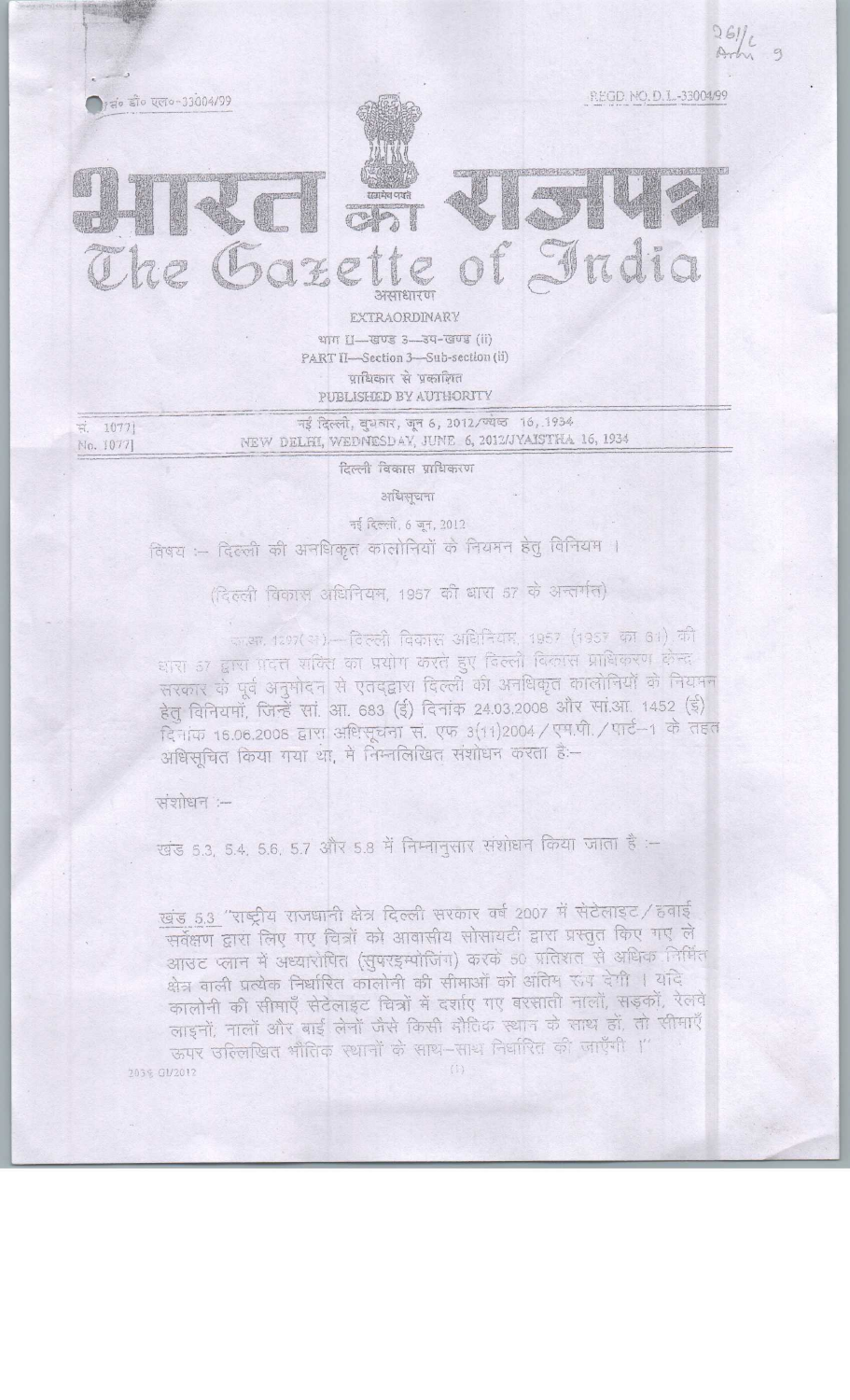

नई दिल्ली, दुधवार, जून 6, 2012/ज्येष्ठ 16, 1934 NEW DELHI, WEDNIESDAY, JUNE 6, 2012/JYAISTHA 16, 1934

दिल्ली विकास प्राधिकरण

अधिसचना

नई दिल्ली, 6 जून, 2012

विषय :-- दिल्ली की अनधिकृत कालोनियों के नियमन हेतु विनियम ।

(दिल्ली विकास अधिनियम, 1957 की बारा 57 के अन्तर्गत)

काउन, 1297(आ) - विल्ली विकास अधिनियम, 1957 (1957 का 61) की धारा 57 द्वारा पदत्त शक्ति का प्रयोग करते हुए दिल्ली विकास प्राधिकरण केन्द्र सरकार के पूर्व अनुमोदन से एतद्द्वारा दिल्ली की अनधिकृत कालोनियों के नियमन हेतु विनियमॉं, जिन्हें सां. आ. 683 (ई) दिनांक 24.03.2008 और सां.आ. 1452 (ई) दिनांक 16.06.2008 द्वारा अधिसूचना सं. एफ 3(11)2004 / एम.पी. / पार्ट--1 के तहत अधिसूचित किया गया था, में निम्नलिखित संशोधन करता है:-

संशोधन :-

No. 1077]

खंड 5.3, 5.4, 5.6, 5.7 और 5.8 में निम्नानुसार संशोधन किया जाता है :-

खंड 5.3 "राष्ट्रीय राजधानी क्षेत्र दिल्ली सरकार वर्ष 2007 में सेटेलाइट / हवाई सर्वेक्षण द्वारा लिए गए चित्रों को आवासीय सोसायटी द्वारा प्रस्तुत किए गए ले आउट प्लान में अध्यारोपित (सुपरइम्पोजिंग) करके 50 प्रतिशत से अधिक निर्मित क्षेत्र वाली प्रत्येक निर्धारित कालोनी की सीमाओं को अंतिम रूप देगी । यदि कालोनी की सीमाएँ सेटेलाइट चित्रों में दर्शाए गए बरसाती नालों, सड़कों, रेलवे लाइनों, नालों और बाई लेनों जैसे किसी मौतिक स्थान के साथ हों, तो सीमाएँ ऊपर उल्लिखित भौतिक स्थानों के साथ-साथ निर्धारित की जाएँगी ।"  $(1)$ 203% GV2012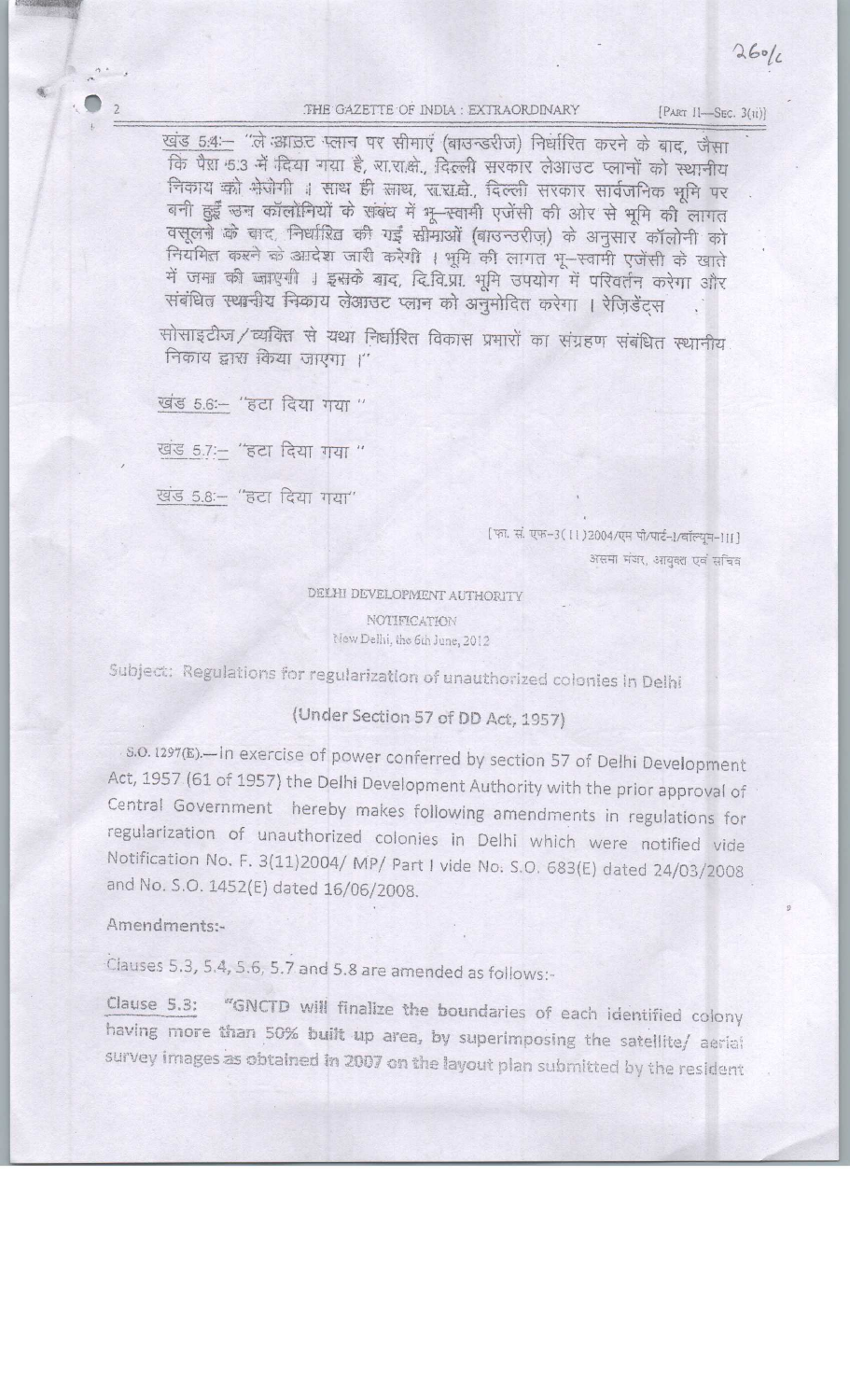## THE GAZETTE OF INDIA : EXTRAORDINARY

[PART II-SEC. 3(ii)]

खंड 5:4:- "ले आंडट पलान पर सीमाएं (बाउन्डरीज) निर्धारित करने के बाद, जैसा कि पैस 5.3 में दिया गया है, साराक्षे. दिल्ली सरकार लेआउट प्लानों को स्थानीय निकाय को भेजेगी । साथ ही साथ, रा.रा.बे., दिल्ली सरकार सार्वजनिक भूमि पर बनी हुईँ उन कॉलोनियों के संबंध में भू-स्वामी एजेंसी की ओर से भूमि की लागत वसूलने के बाद, निर्धारित की गई सीमाओं (बाउन्उरीज़) के अनुसार कॉलोनी को नियमित करने के आदेश जारी करेगी । भूमि की लागत भू-स्वामी एजेंसी के खाते में जमा की जाएगी । इसके बाद, दिवि.प्रा. भूमि उपयोग में परिवर्तन करेगा और संबंधित स्थानीय निकाय लेआउट प्लान को अनुमोदित करेगा । रेज़िडेंट्स

सोसाइटीज /व्यक्ति से यथा निर्धारित विकास प्रमारों का संग्रहण संबंधित स्थानीय निकाय द्वारा किया जाएगा ।"

खंड 5.6 :- "हटा दिया गया "

खड 5.7 :- "हटा दिया गया "

खंड 5.8 :- "हटा दिया गया"

[फ़ा. सं. एफ-3(11)2004/एम पी/पार्ट-1/वॉल्यूम-1II] असमा मंजर, आयुक्त एवं सचिव

DELHI DEVELOPMENT AUTHORITY NOTIFICATION New Delhi, the 6th June, 2012

Subject: Regulations for regularization of unauthorized colonies in Delhi

## (Under Section 57 of DD Act, 1957)

s.o. 1297(E). In exercise of power conferred by section 57 of Delhi Development Act, 1957 (61 of 1957) the Delhi Development Authority with the prior approval of Central Government hereby makes following amendments in regulations for regularization of unauthorized colonies in Delhi which were notified vide Notification No. F. 3(11)2004/ MP/ Part I vide No. S.O. 683(E) dated 24/03/2008 and No. S.O. 1452(E) dated 16/06/2008.

## Amendments:-

Clauses 5.3, 5.4, 5.6, 5.7 and 5.8 are amended as follows:-

Clause 5.3: "GNCTD will finalize the boundaries of each identified colony having more than 50% built up area, by superimposing the satellite/ aerial survey images as obtained in 2007 on the layout plan submitted by the resident

 $260/6$